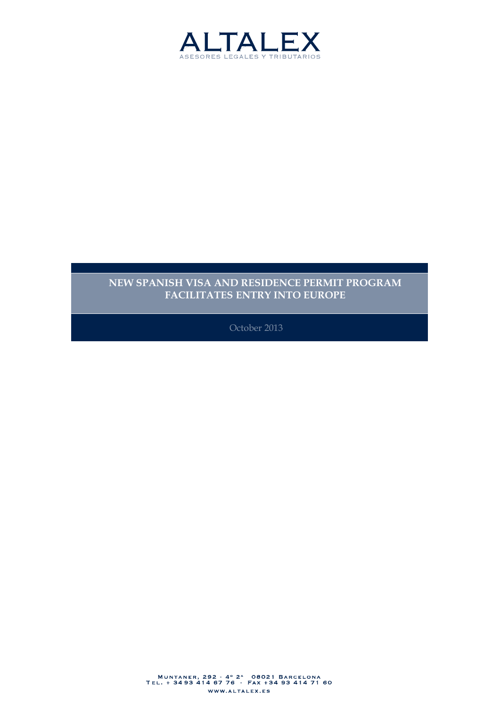

#### **NEW SPANISH VISA AND RESIDENCE PERMIT PROGRAM FACILITATES ENTRY INTO EUROPE**

October 2013

MUNTANER, 292 - 4° 2^ 08021 BARCELONA<br>TEL. + 3493 414 67 76 · FAX +34 93 414 71 60 WWW.ALTALEX.ES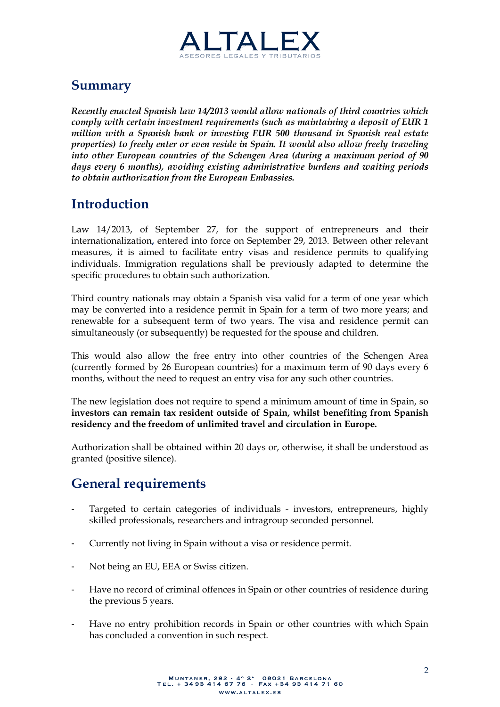

# **Summary**

*Recently enacted Spanish law 14/2013 would allow nationals of third countries which comply with certain investment requirements (such as maintaining a deposit of EUR 1 million with a Spanish bank or investing EUR 500 thousand in Spanish real estate properties) to freely enter or even reside in Spain. It would also allow freely traveling into other European countries of the Schengen Area (during a maximum period of 90 days every 6 months), avoiding existing administrative burdens and waiting periods to obtain authorization from the European Embassies.*

## **Introduction**

Law 14/2013, of September 27, for the support of entrepreneurs and their internationalization**,** entered into force on September 29, 2013. Between other relevant measures, it is aimed to facilitate entry visas and residence permits to qualifying individuals. Immigration regulations shall be previously adapted to determine the specific procedures to obtain such authorization.

Third country nationals may obtain a Spanish visa valid for a term of one year which may be converted into a residence permit in Spain for a term of two more years; and renewable for a subsequent term of two years. The visa and residence permit can simultaneously (or subsequently) be requested for the spouse and children.

This would also allow the free entry into other countries of the Schengen Area (currently formed by 26 European countries) for a maximum term of 90 days every 6 months, without the need to request an entry visa for any such other countries.

The new legislation does not require to spend a minimum amount of time in Spain, so **investors can remain tax resident outside of Spain, whilst benefiting from Spanish residency and the freedom of unlimited travel and circulation in Europe.**

Authorization shall be obtained within 20 days or, otherwise, it shall be understood as granted (positive silence).

## **General requirements**

- Targeted to certain categories of individuals investors, entrepreneurs, highly skilled professionals, researchers and intragroup seconded personnel.
- Currently not living in Spain without a visa or residence permit.
- Not being an EU, EEA or Swiss citizen.
- Have no record of criminal offences in Spain or other countries of residence during the previous 5 years.
- Have no entry prohibition records in Spain or other countries with which Spain has concluded a convention in such respect.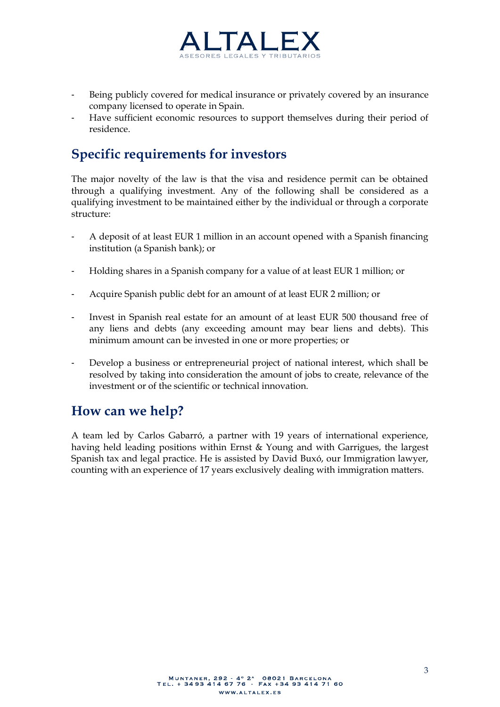

- Being publicly covered for medical insurance or privately covered by an insurance company licensed to operate in Spain.
- Have sufficient economic resources to support themselves during their period of residence.

## **Specific requirements for investors**

The major novelty of the law is that the visa and residence permit can be obtained through a qualifying investment. Any of the following shall be considered as a qualifying investment to be maintained either by the individual or through a corporate structure:

- A deposit of at least EUR 1 million in an account opened with a Spanish financing institution (a Spanish bank); or
- Holding shares in a Spanish company for a value of at least EUR 1 million; or
- Acquire Spanish public debt for an amount of at least EUR 2 million; or
- Invest in Spanish real estate for an amount of at least EUR 500 thousand free of any liens and debts (any exceeding amount may bear liens and debts). This minimum amount can be invested in one or more properties; or
- Develop a business or entrepreneurial project of national interest, which shall be resolved by taking into consideration the amount of jobs to create, relevance of the investment or of the scientific or technical innovation.

#### **How can we help?**

A team led by Carlos Gabarró, a partner with 19 years of international experience, having held leading positions within Ernst & Young and with Garrigues, the largest Spanish tax and legal practice. He is assisted by David Buxó, our Immigration lawyer, counting with an experience of 17 years exclusively dealing with immigration matters.